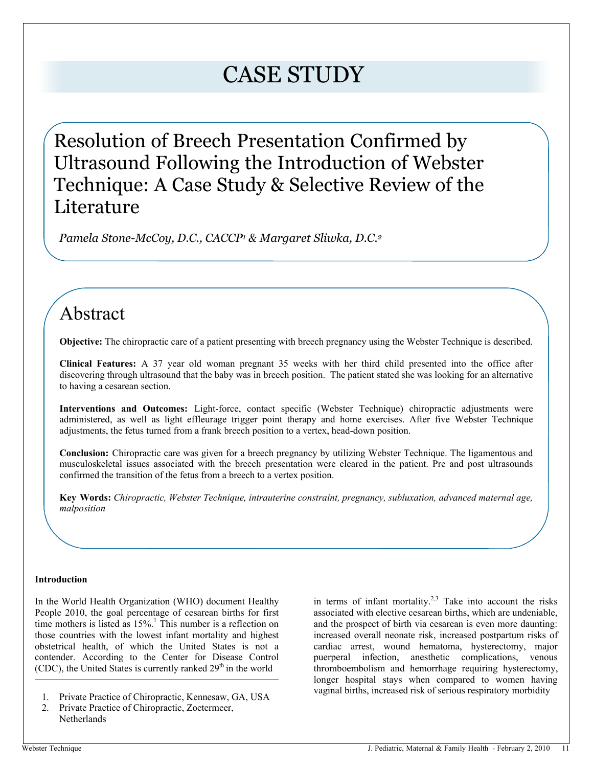# CASE STUDY

Resolution of Breech Presentation Confirmed by Ultrasound Following the Introduction of Webster Technique: A Case Study & Selective Review of the Literature

 *Pamela Stone-McCoy, D.C., CACCP<sup>1</sup> & Margaret Sliwka, D.C.<sup>2</sup>*

# Abstract

**Objective:** The chiropractic care of a patient presenting with breech pregnancy using the Webster Technique is described.

**Clinical Features:** A 37 year old woman pregnant 35 weeks with her third child presented into the office after discovering through ultrasound that the baby was in breech position. The patient stated she was looking for an alternative to having a cesarean section.

**Interventions and Outcomes:** Light-force, contact specific (Webster Technique) chiropractic adjustments were administered, as well as light effleurage trigger point therapy and home exercises. After five Webster Technique adjustments, the fetus turned from a frank breech position to a vertex, head-down position.

**Conclusion:** Chiropractic care was given for a breech pregnancy by utilizing Webster Technique. The ligamentous and musculoskeletal issues associated with the breech presentation were cleared in the patient. Pre and post ultrasounds confirmed the transition of the fetus from a breech to a vertex position.

**Key Words:** *Chiropractic, Webster Technique, intrauterine constraint, pregnancy, subluxation, advanced maternal age, malposition*

# **Introduction**

In the World Health Organization (WHO) document Healthy People 2010, the goal percentage of cesarean births for first time mothers is listed as  $15\%$ .<sup>1</sup> This number is a reflection on those countries with the lowest infant mortality and highest obstetrical health, of which the United States is not a contender. According to the Center for Disease Control (CDC), the United States is currently ranked  $29<sup>th</sup>$  in the world

- 1. Private Practice of Chiropractic, Kennesaw, GA, USA
- 2. Private Practice of Chiropractic, Zoetermeer, **Netherlands**

in terms of infant mortality.<sup>2,3</sup> Take into account the risks associated with elective cesarean births, which are undeniable, and the prospect of birth via cesarean is even more daunting: increased overall neonate risk, increased postpartum risks of cardiac arrest, wound hematoma, hysterectomy, major puerperal infection, anesthetic complications, venous thromboembolism and hemorrhage requiring hysterectomy, longer hospital stays when compared to women having vaginal births, increased risk of serious respiratory morbidity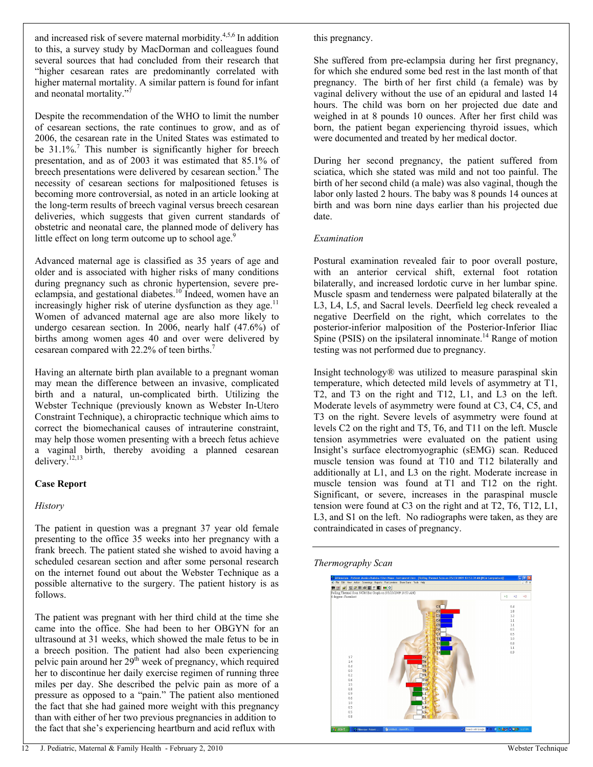and increased risk of severe maternal morbidity.<sup>4,5,6</sup> In addition to this, a survey study by MacDorman and colleagues found several sources that had concluded from their research that ³higher cesarean rates are predominantly correlated with higher maternal mortality. A similar pattern is found for infant and neonatal mortality."<sup>7</sup>

Despite the recommendation of the WHO to limit the number of cesarean sections, the rate continues to grow, and as of 2006, the cesarean rate in the United States was estimated to be  $31.1\%$ <sup>7</sup>. This number is significantly higher for breech presentation, and as of 2003 it was estimated that 85.1% of breech presentations were delivered by cesarean section.<sup>8</sup> The necessity of cesarean sections for malpositioned fetuses is becoming more controversial, as noted in an article looking at the long-term results of breech vaginal versus breech cesarean deliveries, which suggests that given current standards of obstetric and neonatal care, the planned mode of delivery has little effect on long term outcome up to school age.<sup>9</sup>

Advanced maternal age is classified as 35 years of age and older and is associated with higher risks of many conditions during pregnancy such as chronic hypertension, severe preeclampsia, and gestational diabetes.<sup>10</sup> Indeed, women have an increasingly higher risk of uterine dysfunction as they age.<sup>11</sup> Women of advanced maternal age are also more likely to undergo cesarean section. In 2006, nearly half (47.6%) of births among women ages 40 and over were delivered by cesarean compared with 22.2% of teen births.<sup>7</sup>

Having an alternate birth plan available to a pregnant woman may mean the difference between an invasive, complicated birth and a natural, un-complicated birth. Utilizing the Webster Technique (previously known as Webster In-Utero Constraint Technique), a chiropractic technique which aims to correct the biomechanical causes of intrauterine constraint, may help those women presenting with a breech fetus achieve a vaginal birth, thereby avoiding a planned cesarean delivery.<sup>12,13</sup>

#### **Case Report**

# *History*

The patient in question was a pregnant 37 year old female presenting to the office 35 weeks into her pregnancy with a frank breech. The patient stated she wished to avoid having a scheduled cesarean section and after some personal research on the internet found out about the Webster Technique as a possible alternative to the surgery. The patient history is as follows.

The patient was pregnant with her third child at the time she came into the office. She had been to her OBGYN for an ultrasound at 31 weeks, which showed the male fetus to be in a breech position. The patient had also been experiencing pelvic pain around her  $29<sup>th</sup>$  week of pregnancy, which required her to discontinue her daily exercise regimen of running three miles per day. She described the pelvic pain as more of a pressure as opposed to a "pain." The patient also mentioned the fact that she had gained more weight with this pregnancy than with either of her two previous pregnancies in addition to the fact that she's experiencing heartburn and acid reflux with

this pregnancy.

She suffered from pre-eclampsia during her first pregnancy, for which she endured some bed rest in the last month of that pregnancy. The birth of her first child (a female) was by vaginal delivery without the use of an epidural and lasted 14 hours. The child was born on her projected due date and weighed in at 8 pounds 10 ounces. After her first child was born, the patient began experiencing thyroid issues, which were documented and treated by her medical doctor.

During her second pregnancy, the patient suffered from sciatica, which she stated was mild and not too painful. The birth of her second child (a male) was also vaginal, though the labor only lasted 2 hours. The baby was 8 pounds 14 ounces at birth and was born nine days earlier than his projected due date.

## *Examination*

Postural examination revealed fair to poor overall posture, with an anterior cervical shift, external foot rotation bilaterally, and increased lordotic curve in her lumbar spine. Muscle spasm and tenderness were palpated bilaterally at the L3, L4, L5, and Sacral levels. Deerfield leg check revealed a negative Deerfield on the right, which correlates to the posterior-inferior malposition of the Posterior-Inferior Iliac Spine (PSIS) on the ipsilateral innominate.<sup>14</sup> Range of motion testing was not performed due to pregnancy.

Insight technology® was utilized to measure paraspinal skin temperature, which detected mild levels of asymmetry at T1, T2, and T3 on the right and T12, L1, and L3 on the left. Moderate levels of asymmetry were found at C3, C4, C5, and T3 on the right. Severe levels of asymmetry were found at levels C2 on the right and T5, T6, and T11 on the left. Muscle tension asymmetries were evaluated on the patient using Insight's surface electromyographic (sEMG) scan. Reduced muscle tension was found at T10 and T12 bilaterally and additionally at L1, and L3 on the right. Moderate increase in muscle tension was found at T1 and T12 on the right. Significant, or severe, increases in the paraspinal muscle tension were found at C3 on the right and at T2, T6, T12, L1, L3, and S1 on the left. No radiographs were taken, as they are contraindicated in cases of pregnancy.

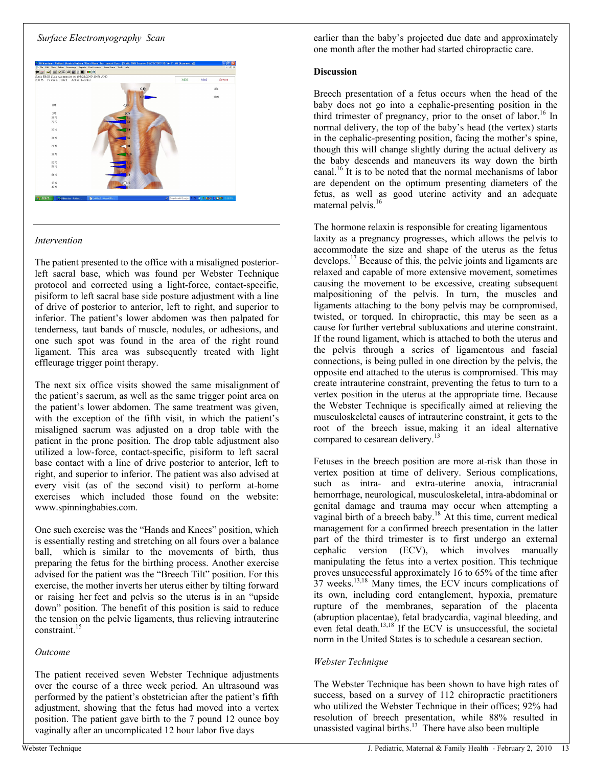#### *Surface Electromyography Scan*



#### *Intervention*

The patient presented to the office with a misaligned posteriorleft sacral base, which was found per Webster Technique protocol and corrected using a light-force, contact-specific, pisiform to left sacral base side posture adjustment with a line of drive of posterior to anterior, left to right, and superior to inferior. The patient's lower abdomen was then palpated for tenderness, taut bands of muscle, nodules, or adhesions, and one such spot was found in the area of the right round ligament. This area was subsequently treated with light effleurage trigger point therapy.

The next six office visits showed the same misalignment of the patient's sacrum, as well as the same trigger point area on the patient's lower abdomen. The same treatment was given, with the exception of the fifth visit, in which the patient's misaligned sacrum was adjusted on a drop table with the patient in the prone position. The drop table adjustment also utilized a low-force, contact-specific, pisiform to left sacral base contact with a line of drive posterior to anterior, left to right, and superior to inferior. The patient was also advised at every visit (as of the second visit) to perform at-home exercises, which included those found on the website: www.spinningbabies.com.

One such exercise was the "Hands and Knees" position, which is essentially resting and stretching on all fours over a balance ball, which is similar to the movements of birth, thus preparing the fetus for the birthing process. Another exercise advised for the patient was the "Breech Tilt" position. For this exercise, the mother inverts her uterus either by tilting forward or raising her feet and pelvis so the uterus is in an "upside" down" position. The benefit of this position is said to reduce the tension on the pelvic ligaments, thus relieving intrauterine constraint.<sup>15</sup>

#### *Outcome*

The patient received seven Webster Technique adjustments over the course of a three week period. An ultrasound was performed by the patient's obstetrician after the patient's fifth adjustment, showing that the fetus had moved into a vertex position. The patient gave birth to the 7 pound 12 ounce boy vaginally after an uncomplicated 12 hour labor five days

earlier than the baby's projected due date and approximately one month after the mother had started chiropractic care.

## **Discussion**

Breech presentation of a fetus occurs when the head of the baby does not go into a cephalic-presenting position in the third trimester of pregnancy, prior to the onset of labor.<sup>16</sup> In normal delivery, the top of the baby's head (the vertex) starts in the cephalic-presenting position, facing the mother's spine, though this will change slightly during the actual delivery as the baby descends and maneuvers its way down the birth canal.<sup>16</sup> It is to be noted that the normal mechanisms of labor are dependent on the optimum presenting diameters of the fetus, as well as good uterine activity and an adequate maternal pelvis.<sup>16</sup>

The hormone relaxin is responsible for creating ligamentous laxity as a pregnancy progresses, which allows the pelvis to accommodate the size and shape of the uterus as the fetus develops.<sup>17</sup> Because of this, the pelvic joints and ligaments are relaxed and capable of more extensive movement, sometimes causing the movement to be excessive, creating subsequent malpositioning of the pelvis. In turn, the muscles and ligaments attaching to the bony pelvis may be compromised, twisted, or torqued. In chiropractic, this may be seen as a cause for further vertebral subluxations and uterine constraint. If the round ligament, which is attached to both the uterus and the pelvis through a series of ligamentous and fascial connections, is being pulled in one direction by the pelvis, the opposite end attached to the uterus is compromised. This may create intrauterine constraint, preventing the fetus to turn to a vertex position in the uterus at the appropriate time. Because the Webster Technique is specifically aimed at relieving the musculoskeletal causes of intrauterine constraint, it gets to the root of the breech issue, making it an ideal alternative compared to cesarean delivery.<sup>13</sup>

Fetuses in the breech position are more at-risk than those in vertex position at time of delivery. Serious complications, such as intra- and extra-uterine anoxia, intracranial hemorrhage, neurological, musculoskeletal, intra-abdominal or genital damage and trauma may occur when attempting a vaginal birth of a breech baby.<sup>18</sup> At this time, current medical management for a confirmed breech presentation in the latter part of the third trimester is to first undergo an external cephalic version (ECV), which involves manually manipulating the fetus into a vertex position. This technique proves unsuccessful approximately 16 to 65% of the time after  $37$  weeks.<sup>13,18</sup> Many times, the ECV incurs complications of its own, including cord entanglement, hypoxia, premature rupture of the membranes, separation of the placenta (abruption placentae), fetal bradycardia, vaginal bleeding, and even fetal death.<sup>13,18</sup> If the ECV is unsuccessful, the societal norm in the United States is to schedule a cesarean section.

# *Webster Technique*

The Webster Technique has been shown to have high rates of success, based on a survey of 112 chiropractic practitioners who utilized the Webster Technique in their offices; 92% had resolution of breech presentation, while 88% resulted in unassisted vaginal births. $13$  There have also been multiple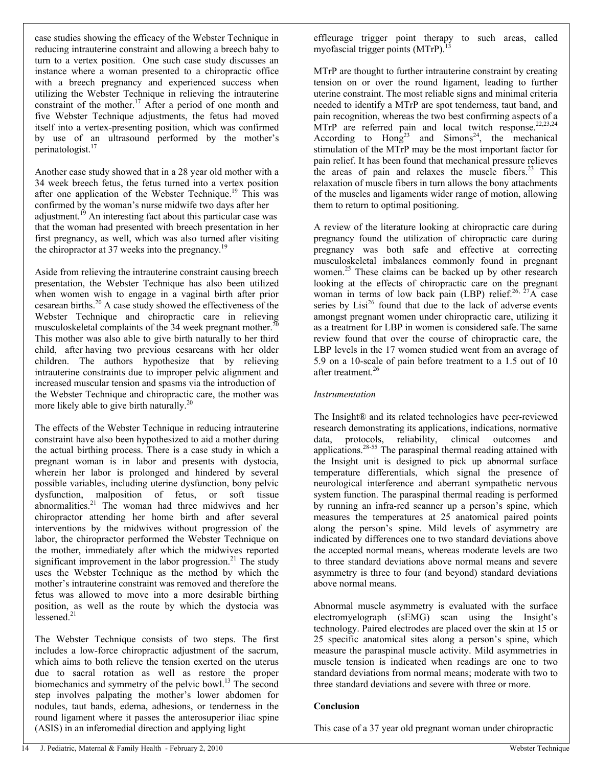case studies showing the efficacy of the Webster Technique in reducing intrauterine constraint and allowing a breech baby to turn to a vertex position. One such case study discusses an instance where a woman presented to a chiropractic office with a breech pregnancy and experienced success when utilizing the Webster Technique in relieving the intrauterine constraint of the mother.<sup>17</sup> After a period of one month and five Webster Technique adjustments, the fetus had moved itself into a vertex-presenting position, which was confirmed by use of an ultrasound performed by the mother's perinatologist.<sup>17</sup>

Another case study showed that in a 28 year old mother with a 34 week breech fetus, the fetus turned into a vertex position after one application of the Webster Technique.<sup>19</sup> This was confirmed by the woman's nurse midwife two days after her adjustment.<sup>19</sup> An interesting fact about this particular case was that the woman had presented with breech presentation in her first pregnancy, as well, which was also turned after visiting the chiropractor at 37 weeks into the pregnancy.<sup>19</sup>

Aside from relieving the intrauterine constraint causing breech presentation, the Webster Technique has also been utilized when women wish to engage in a vaginal birth after prior cesarean births.<sup>20</sup> A case study showed the effectiveness of the Webster Technique and chiropractic care in relieving musculoskeletal complaints of the 34 week pregnant mother.<sup>2</sup> This mother was also able to give birth naturally to her third child, after having two previous cesareans with her older children. The authors hypothesize that by relieving intrauterine constraints due to improper pelvic alignment and increased muscular tension and spasms via the introduction of the Webster Technique and chiropractic care, the mother was more likely able to give birth naturally.<sup>20</sup>

The effects of the Webster Technique in reducing intrauterine constraint have also been hypothesized to aid a mother during the actual birthing process. There is a case study in which a pregnant woman is in labor and presents with dystocia, wherein her labor is prolonged and hindered by several possible variables, including uterine dysfunction, bony pelvic dysfunction, malposition of fetus, or soft tissue abnormalities.<sup>21</sup> The woman had three midwives and her chiropractor attending her home birth and after several interventions by the midwives without progression of the labor, the chiropractor performed the Webster Technique on the mother, immediately after which the midwives reported significant improvement in the labor progression.<sup>21</sup> The study uses the Webster Technique as the method by which the mother's intrauterine constraint was removed and therefore the fetus was allowed to move into a more desirable birthing position, as well as the route by which the dystocia was lessened $21$ 

The Webster Technique consists of two steps. The first includes a low-force chiropractic adjustment of the sacrum, which aims to both relieve the tension exerted on the uterus due to sacral rotation as well as restore the proper biomechanics and symmetry of the pelvic bowl.<sup>13</sup> The second step involves palpating the mother's lower abdomen for nodules, taut bands, edema, adhesions, or tenderness in the round ligament where it passes the anterosuperior iliac spine (ASIS) in an inferomedial direction and applying light

effleurage trigger point therapy to such areas, called myofascial trigger points (MTrP).

MTrP are thought to further intrauterine constraint by creating tension on or over the round ligament, leading to further uterine constraint. The most reliable signs and minimal criteria needed to identify a MTrP are spot tenderness, taut band, and pain recognition, whereas the two best confirming aspects of a MTrP are referred pain and local twitch response.<sup>22,23,24</sup> According to  $Hong^{23}$  and  $Simons^{24}$ , the mechanical stimulation of the MTrP may be the most important factor for pain relief. It has been found that mechanical pressure relieves the areas of pain and relaxes the muscle fibers.<sup>23</sup> This relaxation of muscle fibers in turn allows the bony attachments of the muscles and ligaments wider range of motion, allowing them to return to optimal positioning.

A review of the literature looking at chiropractic care during pregnancy found the utilization of chiropractic care during pregnancy was both safe and effective at correcting musculoskeletal imbalances commonly found in pregnant women.<sup>25</sup> These claims can be backed up by other research looking at the effects of chiropractic care on the pregnant woman in terms of low back pain (LBP) relief.<sup>26, 27</sup>A case series by  $List^{26}$  found that due to the lack of adverse events amongst pregnant women under chiropractic care, utilizing it as a treatment for LBP in women is considered safe. The same review found that over the course of chiropractic care, the LBP levels in the 17 women studied went from an average of 5.9 on a 10-scale of pain before treatment to a 1.5 out of 10 after treatment.<sup>26</sup>

#### *Instrumentation*

The Insight® and its related technologies have peer-reviewed research demonstrating its applications, indications, normative data, protocols, reliability, clinical outcomes and applications.<sup>28-55</sup> The paraspinal thermal reading attained with the Insight unit is designed to pick up abnormal surface temperature differentials, which signal the presence of neurological interference and aberrant sympathetic nervous system function. The paraspinal thermal reading is performed by running an infra-red scanner up a person's spine, which measures the temperatures at 25 anatomical paired points along the person's spine. Mild levels of asymmetry are indicated by differences one to two standard deviations above the accepted normal means, whereas moderate levels are two to three standard deviations above normal means and severe asymmetry is three to four (and beyond) standard deviations above normal means.

Abnormal muscle asymmetry is evaluated with the surface  $electromyelography (sEMG) scan using the Insight's$ technology. Paired electrodes are placed over the skin at 15 or 25 specific anatomical sites along a person's spine, which measure the paraspinal muscle activity. Mild asymmetries in muscle tension is indicated when readings are one to two standard deviations from normal means; moderate with two to three standard deviations and severe with three or more.

#### **Conclusion**

This case of a 37 year old pregnant woman under chiropractic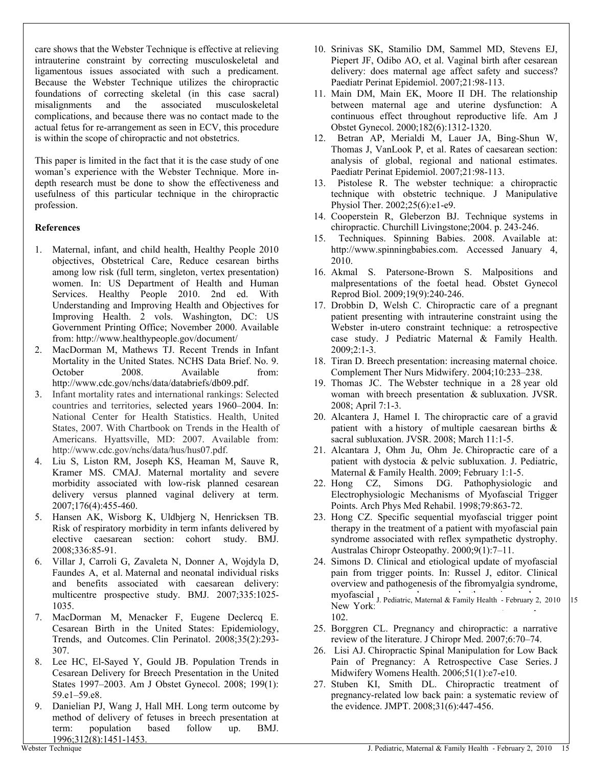care shows that the Webster Technique is effective at relieving intrauterine constraint by correcting musculoskeletal and ligamentous issues associated with such a predicament. Because the Webster Technique utilizes the chiropractic foundations of correcting skeletal (in this case sacral) misalignments and the associated musculoskeletal complications, and because there was no contact made to the actual fetus for re-arrangement as seen in ECV, this procedure is within the scope of chiropractic and not obstetrics.

This paper is limited in the fact that it is the case study of one woman's experience with the Webster Technique. More indepth research must be done to show the effectiveness and usefulness of this particular technique in the chiropractic profession.

#### **References**

- 1. Maternal, infant, and child health, Healthy People 2010 objectives, Obstetrical Care, Reduce cesarean births among low risk (full term, singleton, vertex presentation) women. In: US Department of Health and Human Services. Healthy People 2010. 2nd ed. With Understanding and Improving Health and Objectives for Improving Health. 2 vols. Washington, DC: US Government Printing Office; November 2000. Available from: <http://www.healthypeople.gov/document/>
- 2. MacDorman M, Mathews TJ. Recent Trends in Infant Mortality in the United States. NCHS Data Brief. No. 9. October 2008. Available from: [http://www.cdc.gov/nchs/data/databriefs/db09.pdf.](http://www.cdc.gov/nchs/data/databriefs/db09.pdf)
- 3. Infant mortality rates and international rankings: Selected countries and territories, selected years 1960-2004. In: National Center for Health Statistics. Health, United States, 2007. With Chartbook on Trends in the Health of Americans. Hyattsville, MD: 2007. Available from: [http://www.cdc.gov/nchs/data/hus/hus07.pdf.](http://www.cdc.gov/nchs/data/hus/hus07.pdf)
- 4. Liu S, Liston RM, Joseph KS, Heaman M, Sauve R, Kramer MS. CMAJ. Maternal mortality and severe morbidity associated with low-risk planned cesarean delivery versus planned vaginal delivery at term. 2007;176(4):455-460.
- 5. Hansen AK, Wisborg K, Uldbjerg N, Henricksen TB. Risk of respiratory morbidity in term infants delivered by elective caesarean section: cohort study. BMJ. 2008;336:85-91.
- 6. Villar J, Carroli G, Zavaleta N, Donner A, Wojdyla D, Faundes A, et al. Maternal and neonatal individual risks and benefits associated with caesarean delivery: multicentre prospective study. BMJ. 2007;335:1025- 1035.
- 7. MacDorman M, Menacker F, Eugene Declercq E. Cesarean Birth in the United States: Epidemiology, Trends, and Outcomes. Clin Perinatol. 2008;35(2):293- 307.
- 8. Lee HC, El-Sayed Y, Gould JB. Population Trends in Cesarean Delivery for Breech Presentation in the United States 1997-2003. Am J Obstet Gynecol. 2008; 199(1): 59.e1-59.e8.
- 9. Danielian PJ, Wang J, Hall MH. Long term outcome by method of delivery of fetuses in breech presentation at term: population based follow up. BMJ. 1996;312(8):1451-1453.
- 10. Srinivas SK, Stamilio DM, Sammel MD, Stevens EJ, Piepert JF, Odibo AO, et al. Vaginal birth after cesarean delivery: does maternal age affect safety and success? Paediatr Perinat Epidemiol. 2007;21:98-113.
- 11. Main DM, Main EK, Moore II DH. The relationship between maternal age and uterine dysfunction: A continuous effect throughout reproductive life. Am J Obstet Gynecol. 2000;182(6):1312-1320.
- 12. Betran AP, Merialdi M, Lauer JA, Bing-Shun W, Thomas J, VanLook P, et al. Rates of caesarean section: analysis of global, regional and national estimates. Paediatr Perinat Epidemiol. 2007;21:98-113.
- 13. Pistolese R. The webster technique: a chiropractic technique with obstetric technique. J Manipulative Physiol Ther. 2002;25(6):e1-e9.
- 14. Cooperstein R, Gleberzon BJ. Technique systems in chiropractic. Churchill Livingstone;2004. p. 243-246.
- 15. Techniques. Spinning Babies. 2008. Available at: <http://www.spinningbabies.com.> Accessed January 4, 2010.
- 16. Akmal S. Patersone-Brown S. Malpositions and malpresentations of the foetal head. Obstet Gynecol Reprod Biol. 2009;19(9):240-246.
- 17. Drobbin D, Welsh C. Chiropractic care of a pregnant patient presenting with intrauterine constraint using the Webster in-utero constraint technique: a retrospective case study. J Pediatric Maternal & Family Health. 2009;2:1-3.
- 18. Tiran D. Breech presentation: increasing maternal choice. Complement Ther Nurs Midwifery. 2004;10:233-238.
- 19. Thomas JC. The Webster technique in a 28 year old woman with breech presentation & subluxation. JVSR. 2008; April 7:1-3.
- 20. Alcantera J, Hamel I. The chiropractic care of a gravid patient with a history of multiple caesarean births & sacral subluxation. JVSR. 2008; March 11:1-5.
- 21. Alcantara J, Ohm Ju, Ohm Je. Chiropractic care of a patient with dystocia & pelvic subluxation. J. Pediatric, Maternal & Family Health. 2009; February 1:1-5.
- 22. Hong CZ, Simons DG. Pathophysiologic and Electrophysiologic Mechanisms of Myofascial Trigger Points. Arch Phys Med Rehabil. 1998;79:863-72.
- 23. Hong CZ. Specific sequential myofascial trigger point therapy in the treatment of a patient with myofascial pain syndrome associated with reflex sympathetic dystrophy. Australas Chiropr Osteopathy. 2000;9(1):7-11.
- 24. Simons D. Clinical and etiological update of myofascial pain from trigger points. In: Russel J, editor. Clinical overview and pathogenesis of the fibromyalgia syndrome, myofascial <sub>L</sub> Padietric Meternal & Eamily Hoalth Echrygry 2, 2010 Hyonascian J. Pediatric, Maternal & Family Health - February 2, 2010 15<br>New York: 102.
- 25. Borggren CL. Pregnancy and chiropractic: a narrative review of the literature. J Chiropr Med. 2007;6:70-74.
- 26. Lisi AJ. Chiropractic Spinal Manipulation for Low Back Pain of Pregnancy: A Retrospective Case Series. J Midwifery Womens Health. 2006;51(1):e7-e10.
- 27. Stuben KI, Smith DL. Chiropractic treatment of pregnancy-related low back pain: a systematic review of the evidence. JMPT. 2008;31(6):447-456.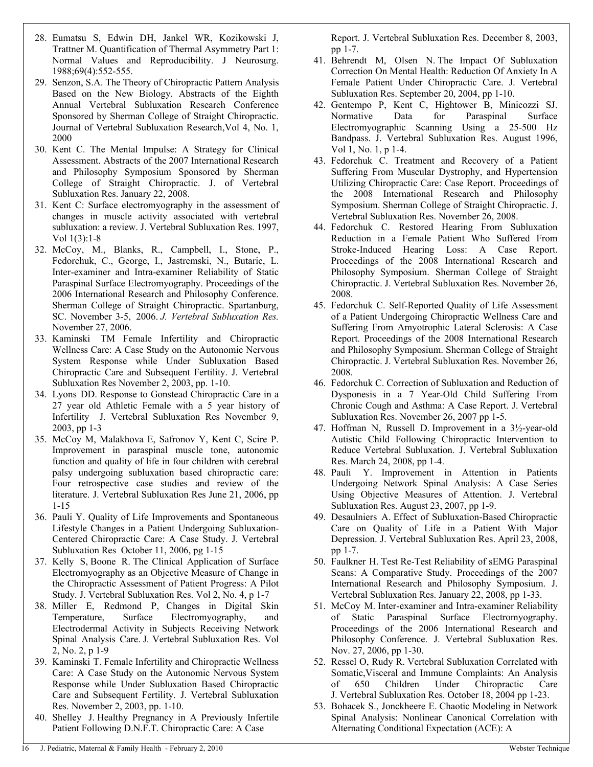- 28. Eumatsu S, Edwin DH, Jankel WR, Kozikowski J, Trattner M. Quantification of Thermal Asymmetry Part 1: Normal Values and Reproducibility. J Neurosurg. 1988;69(4):552-555.
- 29. Senzon, S.A. The Theory of Chiropractic Pattern Analysis Based on the New Biology. Abstracts of the Eighth Annual Vertebral Subluxation Research Conference Sponsored by Sherman College of Straight Chiropractic. Journal of Vertebral Subluxation Research,Vol 4, No. 1, 2000
- 30. Kent C. The Mental Impulse: A Strategy for Clinical Assessment. Abstracts of the 2007 International Research and Philosophy Symposium Sponsored by Sherman College of Straight Chiropractic. J. of Vertebral Subluxation Res. January 22, 2008.
- 31. Kent C: Surface electromyography in the assessment of changes in muscle activity associated with vertebral subluxation: a review. J. Vertebral Subluxation Res. 1997, Vol 1(3):1-8
- 32. McCoy, M., Blanks, R., Campbell, I., Stone, P., Fedorchuk, C., George, I., Jastremski, N., Butaric, L. Inter-examiner and Intra-examiner Reliability of Static Paraspinal Surface Electromyography. Proceedings of the 2006 International Research and Philosophy Conference. Sherman College of Straight Chiropractic. Spartanburg, SC. November 3-5, 2006. *J. Vertebral Subluxation Res.* November 27, 2006.
- 33. Kaminski TM Female Infertility and Chiropractic Wellness Care: A Case Study on the Autonomic Nervous System Response while Under Subluxation Based Chiropractic Care and Subsequent Fertility. J. Vertebral Subluxation Res November 2, 2003, pp. 1-10.
- 34. Lyons DD. Response to Gonstead Chiropractic Care in a 27 year old Athletic Female with a 5 year history of Infertility J. Vertebral Subluxation Res November 9, 2003, pp 1-3
- 35. McCoy M, Malakhova E, Safronov Y, Kent C, Scire P. Improvement in paraspinal muscle tone, autonomic function and quality of life in four children with cerebral palsy undergoing subluxation based chiropractic care: Four retrospective case studies and review of the literature. J. Vertebral Subluxation Res June 21, 2006, pp 1-15
- 36. Pauli Y. Quality of Life Improvements and Spontaneous Lifestyle Changes in a Patient Undergoing Subluxation-Centered Chiropractic Care: A Case Study. J. Vertebral Subluxation Res October 11, 2006, pg 1-15
- 37. Kelly S, Boone R. The Clinical Application of Surface Electromyography as an Objective Measure of Change in the Chiropractic Assessment of Patient Progress: A Pilot Study. J. Vertebral Subluxation Res. Vol 2, No. 4, p 1-7
- 38. Miller E, Redmond P, Changes in Digital Skin Temperature, Surface Electromyography, and Electrodermal Activity in Subjects Receiving Network Spinal Analysis Care. J. Vertebral Subluxation Res. Vol 2, No. 2, p 1-9
- 39. Kaminski T. Female Infertility and Chiropractic Wellness Care: A Case Study on the Autonomic Nervous System Response while Under Subluxation Based Chiropractic Care and Subsequent Fertility. J. Vertebral Subluxation Res. November 2, 2003, pp. 1-10.
- 40. Shelley J. Healthy Pregnancy in A Previously Infertile Patient Following D.N.F.T. Chiropractic Care: A Case

Report. J. Vertebral Subluxation Res. December 8, 2003, pp 1-7.

- 41. Behrendt M, Olsen N. The Impact Of Subluxation Correction On Mental Health: Reduction Of Anxiety In A Female Patient Under Chiropractic Care. J. Vertebral Subluxation Res. September 20, 2004, pp 1-10.
- 42. Gentempo P, Kent C, Hightower B, Minicozzi SJ. Normative Data for Paraspinal Surface Electromyographic Scanning Using a 25-500 Hz Bandpass. J. Vertebral Subluxation Res. August 1996, Vol 1, No. 1, p 1-4.
- 43. Fedorchuk C. Treatment and Recovery of a Patient Suffering From Muscular Dystrophy, and Hypertension Utilizing Chiropractic Care: Case Report. Proceedings of the 2008 International Research and Philosophy Symposium. Sherman College of Straight Chiropractic. J. Vertebral Subluxation Res. November 26, 2008.
- 44. Fedorchuk C. Restored Hearing From Subluxation Reduction in a Female Patient Who Suffered From Stroke-Induced Hearing Loss: A Case Report. Proceedings of the 2008 International Research and Philosophy Symposium. Sherman College of Straight Chiropractic. J. Vertebral Subluxation Res. November 26, 2008.
- 45. Fedorchuk C. Self-Reported Quality of Life Assessment of a Patient Undergoing Chiropractic Wellness Care and Suffering From Amyotrophic Lateral Sclerosis: A Case Report. Proceedings of the 2008 International Research and Philosophy Symposium. Sherman College of Straight Chiropractic. J. Vertebral Subluxation Res. November 26, 2008.
- 46. Fedorchuk C. Correction of Subluxation and Reduction of Dysponesis in a 7 Year-Old Child Suffering From Chronic Cough and Asthma: A Case Report. J. Vertebral Subluxation Res. November 26, 2007 pp 1-5.
- 47. Hoffman N, Russell D. Improvement in a 3½-year-old Autistic Child Following Chiropractic Intervention to Reduce Vertebral Subluxation. J. Vertebral Subluxation Res. March 24, 2008, pp 1-4.
- 48. Pauli Y. Improvement in Attention in Patients Undergoing Network Spinal Analysis: A Case Series Using Objective Measures of Attention. J. Vertebral Subluxation Res. August 23, 2007, pp 1-9.
- 49. Desaulniers A. Effect of Subluxation-Based Chiropractic Care on Quality of Life in a Patient With Major Depression. J. Vertebral Subluxation Res. April 23, 2008, pp 1-7.
- 50. Faulkner H. Test Re-Test Reliability of sEMG Paraspinal Scans: A Comparative Study. Proceedings of the 2007 International Research and Philosophy Symposium. J. Vertebral Subluxation Res. January 22, 2008, pp 1-33.
- 51. McCoy M. Inter-examiner and Intra-examiner Reliability of Static Paraspinal Surface Electromyography. Proceedings of the 2006 International Research and Philosophy Conference. J. Vertebral Subluxation Res. Nov. 27, 2006, pp 1-30.
- 52. Ressel O, Rudy R. Vertebral Subluxation Correlated with Somatic,Visceral and Immune Complaints: An Analysis of 650 Children Under Chiropractic Care J. Vertebral Subluxation Res. October 18, 2004 pp 1-23.
- 53. Bohacek S., Jonckheere E. Chaotic Modeling in Network Spinal Analysis: Nonlinear Canonical Correlation with Alternating Conditional Expectation (ACE): A